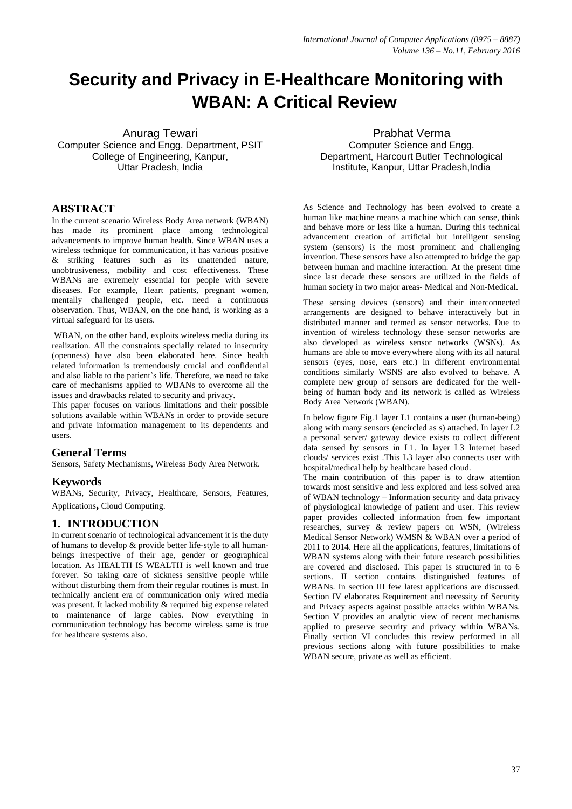# **Security and Privacy in E-Healthcare Monitoring with WBAN: A Critical Review**

Anurag Tewari Computer Science and Engg. Department, PSIT College of Engineering, Kanpur, Uttar Pradesh, India

## **ABSTRACT**

In the current scenario Wireless Body Area network (WBAN) has made its prominent place among technological advancements to improve human health. Since WBAN uses a wireless technique for communication, it has various positive & striking features such as its unattended nature, unobtrusiveness, mobility and cost effectiveness. These WBANs are extremely essential for people with severe diseases. For example, Heart patients, pregnant women, mentally challenged people, etc. need a continuous observation. Thus, WBAN, on the one hand, is working as a virtual safeguard for its users.

WBAN, on the other hand, exploits wireless media during its realization. All the constraints specially related to insecurity (openness) have also been elaborated here. Since health related information is tremendously crucial and confidential and also liable to the patient's life. Therefore, we need to take care of mechanisms applied to WBANs to overcome all the issues and drawbacks related to security and privacy.

This paper focuses on various limitations and their possible solutions available within WBANs in order to provide secure and private information management to its dependents and users.

### **General Terms**

Sensors, Safety Mechanisms, Wireless Body Area Network.

### **Keywords**

WBANs, Security, Privacy, Healthcare, Sensors, Features, Applications**,** Cloud Computing.

### **1. INTRODUCTION**

In current scenario of technological advancement it is the duty of humans to develop & provide better life-style to all humanbeings irrespective of their age, gender or geographical location. As HEALTH IS WEALTH is well known and true forever. So taking care of sickness sensitive people while without disturbing them from their regular routines is must. In technically ancient era of communication only wired media was present. It lacked mobility & required big expense related to maintenance of large cables. Now everything in communication technology has become wireless same is true for healthcare systems also.

Prabhat Verma Computer Science and Engg. Department, Harcourt Butler Technological Institute, Kanpur, Uttar Pradesh,India

As Science and Technology has been evolved to create a human like machine means a machine which can sense, think and behave more or less like a human. During this technical advancement creation of artificial but intelligent sensing system (sensors) is the most prominent and challenging invention. These sensors have also attempted to bridge the gap between human and machine interaction. At the present time since last decade these sensors are utilized in the fields of human society in two major areas- Medical and Non-Medical.

These sensing devices (sensors) and their interconnected arrangements are designed to behave interactively but in distributed manner and termed as sensor networks. Due to invention of wireless technology these sensor networks are also developed as wireless sensor networks (WSNs). As humans are able to move everywhere along with its all natural sensors (eyes, nose, ears etc.) in different environmental conditions similarly WSNS are also evolved to behave. A complete new group of sensors are dedicated for the wellbeing of human body and its network is called as Wireless Body Area Network (WBAN).

In below figure Fig.1 layer L1 contains a user (human-being) along with many sensors (encircled as s) attached. In layer L2 a personal server/ gateway device exists to collect different data sensed by sensors in L1. In layer L3 Internet based clouds/ services exist .This L3 layer also connects user with hospital/medical help by healthcare based cloud.

The main contribution of this paper is to draw attention towards most sensitive and less explored and less solved area of WBAN technology – Information security and data privacy of physiological knowledge of patient and user. This review paper provides collected information from few important researches, survey & review papers on WSN, (Wireless Medical Sensor Network) WMSN & WBAN over a period of 2011 to 2014. Here all the applications, features, limitations of WBAN systems along with their future research possibilities are covered and disclosed. This paper is structured in to 6 sections. II section contains distinguished features of WBANs. In section III few latest applications are discussed. Section IV elaborates Requirement and necessity of Security and Privacy aspects against possible attacks within WBANs. Section V provides an analytic view of recent mechanisms applied to preserve security and privacy within WBANs. Finally section VI concludes this review performed in all previous sections along with future possibilities to make WBAN secure, private as well as efficient.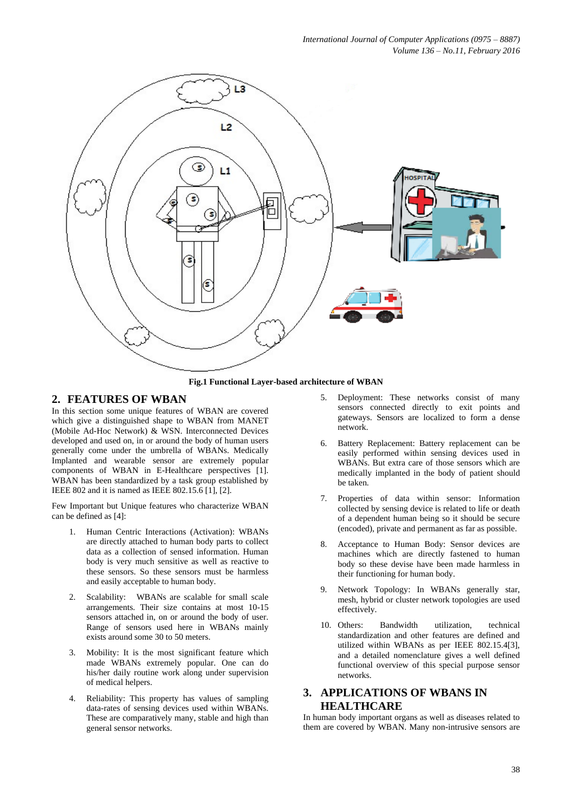

**Fig.1 Functional Layer-based architecture of WBAN**

#### **2. FEATURES OF WBAN**

In this section some unique features of WBAN are covered which give a distinguished shape to WBAN from MANET (Mobile Ad-Hoc Network) & WSN. Interconnected Devices developed and used on, in or around the body of human users generally come under the umbrella of WBANs. Medically Implanted and wearable sensor are extremely popular components of WBAN in E-Healthcare perspectives [1]. WBAN has been standardized by a task group established by IEEE 802 and it is named as IEEE 802.15.6 [1], [2].

Few Important but Unique features who characterize WBAN can be defined as [4]:

- 1. Human Centric Interactions (Activation): WBANs are directly attached to human body parts to collect data as a collection of sensed information. Human body is very much sensitive as well as reactive to these sensors. So these sensors must be harmless and easily acceptable to human body.
- 2. Scalability: WBANs are scalable for small scale arrangements. Their size contains at most 10-15 sensors attached in, on or around the body of user. Range of sensors used here in WBANs mainly exists around some 30 to 50 meters.
- 3. Mobility: It is the most significant feature which made WBANs extremely popular. One can do his/her daily routine work along under supervision of medical helpers.
- 4. Reliability: This property has values of sampling data-rates of sensing devices used within WBANs. These are comparatively many, stable and high than general sensor networks.
- 5. Deployment: These networks consist of many sensors connected directly to exit points and gateways. Sensors are localized to form a dense network.
- 6. Battery Replacement: Battery replacement can be easily performed within sensing devices used in WBANs. But extra care of those sensors which are medically implanted in the body of patient should be taken.
- 7. Properties of data within sensor: Information collected by sensing device is related to life or death of a dependent human being so it should be secure (encoded), private and permanent as far as possible.
- 8. Acceptance to Human Body: Sensor devices are machines which are directly fastened to human body so these devise have been made harmless in their functioning for human body.
- 9. Network Topology: In WBANs generally star, mesh, hybrid or cluster network topologies are used effectively.
- 10. Others: Bandwidth utilization, technical standardization and other features are defined and utilized within WBANs as per IEEE 802.15.4[3], and a detailed nomenclature gives a well defined functional overview of this special purpose sensor networks.

## **3. APPLICATIONS OF WBANS IN HEALTHCARE**

In human body important organs as well as diseases related to them are covered by WBAN. Many non-intrusive sensors are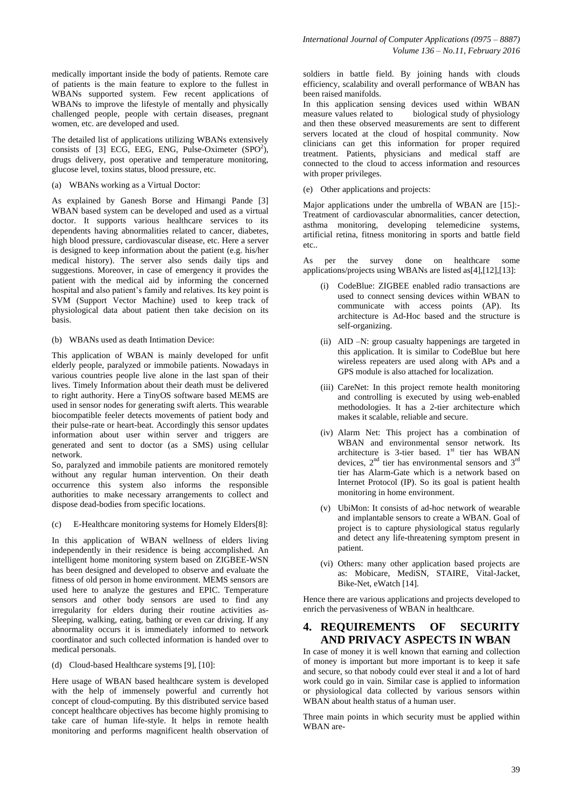medically important inside the body of patients. Remote care of patients is the main feature to explore to the fullest in WBANs supported system. Few recent applications of WBANs to improve the lifestyle of mentally and physically challenged people, people with certain diseases, pregnant women, etc. are developed and used.

The detailed list of applications utilizing WBANs extensively consists of [3] ECG, EEG, ENG, Pulse-Oximeter  $(SPO<sup>2</sup>)$ , drugs delivery, post operative and temperature monitoring, glucose level, toxins status, blood pressure, etc.

(a) WBANs working as a Virtual Doctor:

As explained by Ganesh Borse and Himangi Pande [3] WBAN based system can be developed and used as a virtual doctor. It supports various healthcare services to its dependents having abnormalities related to cancer, diabetes, high blood pressure, cardiovascular disease, etc. Here a server is designed to keep information about the patient (e.g. his/her medical history). The server also sends daily tips and suggestions. Moreover, in case of emergency it provides the patient with the medical aid by informing the concerned hospital and also patient's family and relatives. Its key point is SVM (Support Vector Machine) used to keep track of physiological data about patient then take decision on its basis.

(b) WBANs used as death Intimation Device:

This application of WBAN is mainly developed for unfit elderly people, paralyzed or immobile patients. Nowadays in various countries people live alone in the last span of their lives. Timely Information about their death must be delivered to right authority. Here a TinyOS software based MEMS are used in sensor nodes for generating swift alerts. This wearable biocompatible feeler detects movements of patient body and their pulse-rate or heart-beat. Accordingly this sensor updates information about user within server and triggers are generated and sent to doctor (as a SMS) using cellular network.

So, paralyzed and immobile patients are monitored remotely without any regular human intervention. On their death occurrence this system also informs the responsible authorities to make necessary arrangements to collect and dispose dead-bodies from specific locations.

(c) E-Healthcare monitoring systems for Homely Elders[8]:

In this application of WBAN wellness of elders living independently in their residence is being accomplished. An intelligent home monitoring system based on ZIGBEE-WSN has been designed and developed to observe and evaluate the fitness of old person in home environment. MEMS sensors are used here to analyze the gestures and EPIC. Temperature sensors and other body sensors are used to find any irregularity for elders during their routine activities as-Sleeping, walking, eating, bathing or even car driving. If any abnormality occurs it is immediately informed to network coordinator and such collected information is handed over to medical personals.

(d) Cloud-based Healthcare systems [9], [10]:

Here usage of WBAN based healthcare system is developed with the help of immensely powerful and currently hot concept of cloud-computing. By this distributed service based concept healthcare objectives has become highly promising to take care of human life-style. It helps in remote health monitoring and performs magnificent health observation of soldiers in battle field. By joining hands with clouds efficiency, scalability and overall performance of WBAN has been raised manifolds.

In this application sensing devices used within WBAN measure values related to biological study of physiology and then these observed measurements are sent to different servers located at the cloud of hospital community. Now clinicians can get this information for proper required treatment. Patients, physicians and medical staff are connected to the cloud to access information and resources with proper privileges.

(e) Other applications and projects:

Major applications under the umbrella of WBAN are [15]:- Treatment of cardiovascular abnormalities, cancer detection, asthma monitoring, developing telemedicine systems, artificial retina, fitness monitoring in sports and battle field etc..

As per the survey done on healthcare some applications/projects using WBANs are listed as[4],[12],[13]:

- (i) CodeBlue: ZIGBEE enabled radio transactions are used to connect sensing devices within WBAN to communicate with access points (AP). Its architecture is Ad-Hoc based and the structure is self-organizing.
- (ii) AID –N: group casualty happenings are targeted in this application. It is similar to CodeBlue but here wireless repeaters are used along with APs and a GPS module is also attached for localization.
- (iii) CareNet: In this project remote health monitoring and controlling is executed by using web-enabled methodologies. It has a 2-tier architecture which makes it scalable, reliable and secure.
- (iv) Alarm Net: This project has a combination of WBAN and environmental sensor network. Its architecture is 3-tier based.  $1<sup>st</sup>$  tier has WBAN devices,  $2<sup>nd</sup>$  tier has environmental sensors and  $3<sup>rd</sup>$ tier has Alarm-Gate which is a network based on Internet Protocol (IP). So its goal is patient health monitoring in home environment.
- (v) UbiMon: It consists of ad-hoc network of wearable and implantable sensors to create a WBAN. Goal of project is to capture physiological status regularly and detect any life-threatening symptom present in patient.
- (vi) Others: many other application based projects are as: Mobicare, MediSN, STAIRE, Vital-Jacket, Bike-Net, eWatch [14].

Hence there are various applications and projects developed to enrich the pervasiveness of WBAN in healthcare.

## **4. REQUIREMENTS OF SECURITY AND PRIVACY ASPECTS IN WBAN**

In case of money it is well known that earning and collection of money is important but more important is to keep it safe and secure, so that nobody could ever steal it and a lot of hard work could go in vain. Similar case is applied to information or physiological data collected by various sensors within WBAN about health status of a human user.

Three main points in which security must be applied within WBAN are-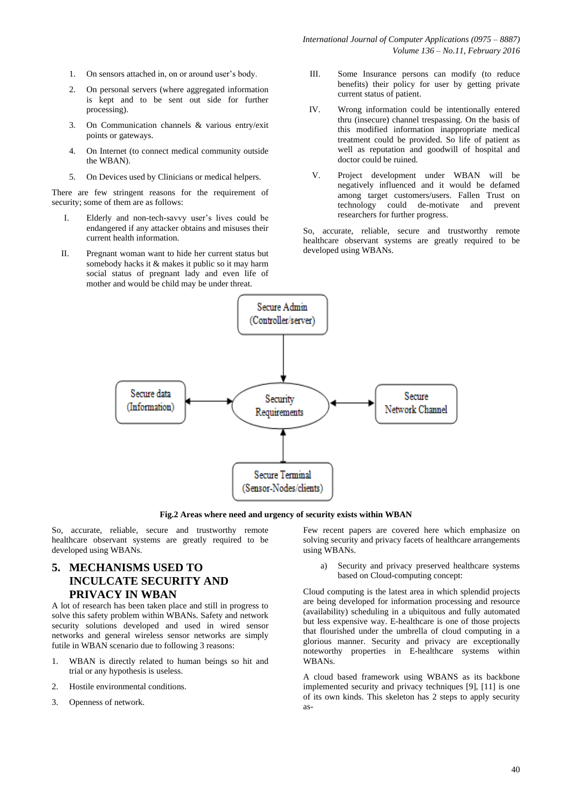*International Journal of Computer Applications (0975 – 8887) Volume 136 – No.11, February 2016*

- 1. On sensors attached in, on or around user's body.
- 2. On personal servers (where aggregated information is kept and to be sent out side for further processing).
- 3. On Communication channels & various entry/exit points or gateways.
- 4. On Internet (to connect medical community outside the WBAN).
- 5. On Devices used by Clinicians or medical helpers.

There are few stringent reasons for the requirement of security; some of them are as follows:

- I. Elderly and non-tech-savvy user's lives could be endangered if any attacker obtains and misuses their current health information.
- II. Pregnant woman want to hide her current status but somebody hacks it & makes it public so it may harm social status of pregnant lady and even life of mother and would be child may be under threat.
- III. Some Insurance persons can modify (to reduce benefits) their policy for user by getting private current status of patient.
- IV. Wrong information could be intentionally entered thru (insecure) channel trespassing. On the basis of this modified information inappropriate medical treatment could be provided. So life of patient as well as reputation and goodwill of hospital and doctor could be ruined.
- V. Project development under WBAN will be negatively influenced and it would be defamed among target customers/users. Fallen Trust on technology could de-motivate and prevent researchers for further progress.

So, accurate, reliable, secure and trustworthy remote healthcare observant systems are greatly required to be developed using WBANs.



**Fig.2 Areas where need and urgency of security exists within WBAN**

So, accurate, reliable, secure and trustworthy remote healthcare observant systems are greatly required to be developed using WBANs.

## **5. MECHANISMS USED TO INCULCATE SECURITY AND PRIVACY IN WBAN**

A lot of research has been taken place and still in progress to solve this safety problem within WBANs. Safety and network security solutions developed and used in wired sensor networks and general wireless sensor networks are simply futile in WBAN scenario due to following 3 reasons:

- 1. WBAN is directly related to human beings so hit and trial or any hypothesis is useless.
- 2. Hostile environmental conditions.
- 3. Openness of network.

Few recent papers are covered here which emphasize on solving security and privacy facets of healthcare arrangements using WBANs.

a) Security and privacy preserved healthcare systems based on Cloud-computing concept:

Cloud computing is the latest area in which splendid projects are being developed for information processing and resource (availability) scheduling in a ubiquitous and fully automated but less expensive way. E-healthcare is one of those projects that flourished under the umbrella of cloud computing in a glorious manner. Security and privacy are exceptionally noteworthy properties in E-healthcare systems within WBANs.

A cloud based framework using WBANS as its backbone implemented security and privacy techniques [9], [11] is one of its own kinds. This skeleton has 2 steps to apply security as-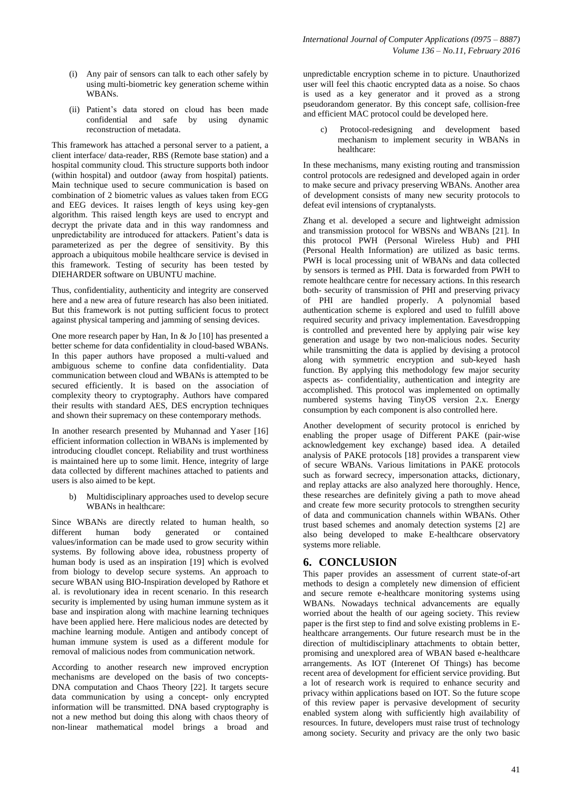- (i) Any pair of sensors can talk to each other safely by using multi-biometric key generation scheme within WBANs.
- (ii) Patient's data stored on cloud has been made confidential and safe by using dynamic reconstruction of metadata.

This framework has attached a personal server to a patient, a client interface/ data-reader, RBS (Remote base station) and a hospital community cloud. This structure supports both indoor (within hospital) and outdoor (away from hospital) patients. Main technique used to secure communication is based on combination of 2 biometric values as values taken from ECG and EEG devices. It raises length of keys using key-gen algorithm. This raised length keys are used to encrypt and decrypt the private data and in this way randomness and unpredictability are introduced for attackers. Patient's data is parameterized as per the degree of sensitivity. By this approach a ubiquitous mobile healthcare service is devised in this framework. Testing of security has been tested by DIEHARDER software on UBUNTU machine.

Thus, confidentiality, authenticity and integrity are conserved here and a new area of future research has also been initiated. But this framework is not putting sufficient focus to protect against physical tampering and jamming of sensing devices.

One more research paper by Han, In & Jo [10] has presented a better scheme for data confidentiality in cloud-based WBANs. In this paper authors have proposed a multi-valued and ambiguous scheme to confine data confidentiality. Data communication between cloud and WBANs is attempted to be secured efficiently. It is based on the association of complexity theory to cryptography. Authors have compared their results with standard AES, DES encryption techniques and shown their supremacy on these contemporary methods.

In another research presented by Muhannad and Yaser [16] efficient information collection in WBANs is implemented by introducing cloudlet concept. Reliability and trust worthiness is maintained here up to some limit. Hence, integrity of large data collected by different machines attached to patients and users is also aimed to be kept.

b) Multidisciplinary approaches used to develop secure WBANs in healthcare:

Since WBANs are directly related to human health, so different human body generated or contained values/information can be made used to grow security within systems. By following above idea, robustness property of human body is used as an inspiration [19] which is evolved from biology to develop secure systems. An approach to secure WBAN using BIO-Inspiration developed by Rathore et al. is revolutionary idea in recent scenario. In this research security is implemented by using human immune system as it base and inspiration along with machine learning techniques have been applied here. Here malicious nodes are detected by machine learning module. Antigen and antibody concept of human immune system is used as a different module for removal of malicious nodes from communication network.

According to another research new improved encryption mechanisms are developed on the basis of two concepts-DNA computation and Chaos Theory [22]. It targets secure data communication by using a concept- only encrypted information will be transmitted. DNA based cryptography is not a new method but doing this along with chaos theory of non-linear mathematical model brings a broad and unpredictable encryption scheme in to picture. Unauthorized user will feel this chaotic encrypted data as a noise. So chaos is used as a key generator and it proved as a strong pseudorandom generator. By this concept safe, collision-free and efficient MAC protocol could be developed here.

c) Protocol-redesigning and development based mechanism to implement security in WBANs in healthcare:

In these mechanisms, many existing routing and transmission control protocols are redesigned and developed again in order to make secure and privacy preserving WBANs. Another area of development consists of many new security protocols to defeat evil intensions of cryptanalysts.

Zhang et al. developed a secure and lightweight admission and transmission protocol for WBSNs and WBANs [21]. In this protocol PWH (Personal Wireless Hub) and PHI (Personal Health Information) are utilized as basic terms. PWH is local processing unit of WBANs and data collected by sensors is termed as PHI. Data is forwarded from PWH to remote healthcare centre for necessary actions. In this research both- security of transmission of PHI and preserving privacy of PHI are handled properly. A polynomial based authentication scheme is explored and used to fulfill above required security and privacy implementation. Eavesdropping is controlled and prevented here by applying pair wise key generation and usage by two non-malicious nodes. Security while transmitting the data is applied by devising a protocol along with symmetric encryption and sub-keyed hash function. By applying this methodology few major security aspects as- confidentiality, authentication and integrity are accomplished. This protocol was implemented on optimally numbered systems having TinyOS version 2.x. Energy consumption by each component is also controlled here.

Another development of security protocol is enriched by enabling the proper usage of Different PAKE (pair-wise acknowledgement key exchange) based idea. A detailed analysis of PAKE protocols [18] provides a transparent view of secure WBANs. Various limitations in PAKE protocols such as forward secrecy, impersonation attacks, dictionary, and replay attacks are also analyzed here thoroughly. Hence, these researches are definitely giving a path to move ahead and create few more security protocols to strengthen security of data and communication channels within WBANs. Other trust based schemes and anomaly detection systems [2] are also being developed to make E-healthcare observatory systems more reliable.

## **6. CONCLUSION**

This paper provides an assessment of current state-of-art methods to design a completely new dimension of efficient and secure remote e-healthcare monitoring systems using WBANs. Nowadays technical advancements are equally worried about the health of our ageing society. This review paper is the first step to find and solve existing problems in Ehealthcare arrangements. Our future research must be in the direction of multidisciplinary attachments to obtain better, promising and unexplored area of WBAN based e-healthcare arrangements. As IOT (Interenet Of Things) has become recent area of development for efficient service providing. But a lot of research work is required to enhance security and privacy within applications based on IOT. So the future scope of this review paper is pervasive development of security enabled system along with sufficiently high availability of resources. In future, developers must raise trust of technology among society. Security and privacy are the only two basic